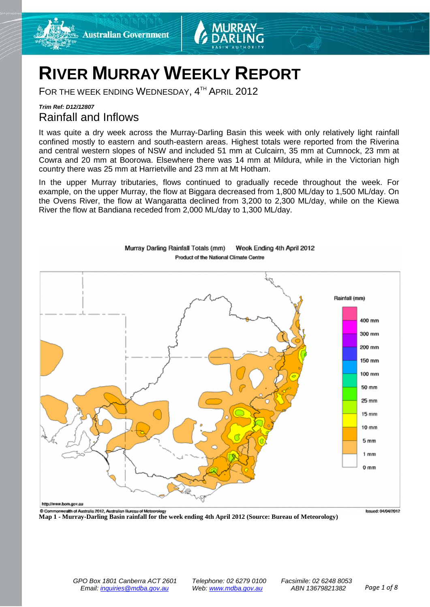



# **RIVER MURRAY WEEKLY REPORT**

FOR THE WEEK ENDING WEDNESDAY, 4<sup>TH</sup> APRIL 2012

### *Trim Ref: D12/12807* Rainfall and Inflows

It was quite a dry week across the Murray-Darling Basin this week with only relatively light rainfall confined mostly to eastern and south-eastern areas. Highest totals were reported from the Riverina and central western slopes of NSW and included 51 mm at Culcairn, 35 mm at Cumnock, 23 mm at Cowra and 20 mm at Boorowa. Elsewhere there was 14 mm at Mildura, while in the Victorian high country there was 25 mm at Harrietville and 23 mm at Mt Hotham.

In the upper Murray tributaries, flows continued to gradually recede throughout the week. For example, on the upper Murray, the flow at Biggara decreased from 1,800 ML/day to 1,500 ML/day. On the Ovens River, the flow at Wangaratta declined from 3,200 to 2,300 ML/day, while on the Kiewa River the flow at Bandiana receded from 2,000 ML/day to 1,300 ML/day.



Murray Darling Rainfall Totals (mm) Week Ending 4th April 2012 Product of the National Climate Centre

**Map 1 - Murray-Darling Basin rainfall for the week ending 4th April 2012 (Source: Bureau of Meteorology)**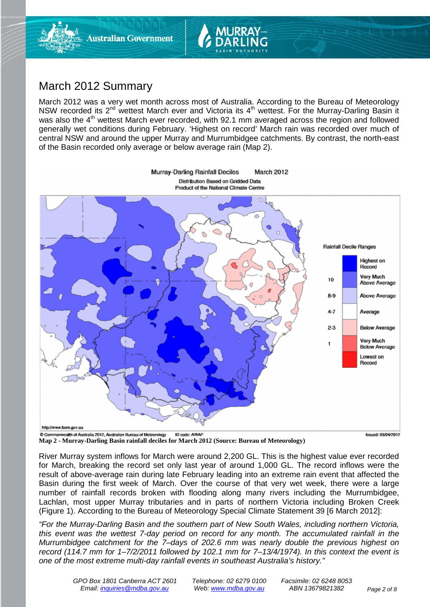

## March 2012 Summary

March 2012 was a very wet month across most of Australia. According to the Bureau of Meteorology NSW recorded its 2<sup>nd</sup> wettest March ever and Victoria its 4<sup>th</sup> wettest. For the Murray-Darling Basin it was also the 4<sup>th</sup> wettest March ever recorded, with 92.1 mm averaged across the region and followed generally wet conditions during February. 'Highest on record' March rain was recorded over much of central NSW and around the upper Murray and Murrumbidgee catchments. By contrast, the north-east of the Basin recorded only average or below average rain (Map 2).



**Map 2 - Murray-Darling Basin rainfall deciles for March 2012 (Source: Bureau of Meteorology)**



River Murray system inflows for March were around 2,200 GL. This is the highest value ever recorded for March, breaking the record set only last year of around 1,000 GL. The record inflows were the result of above-average rain during late February leading into an extreme rain event that affected the Basin during the first week of March. Over the course of that very wet week, there were a large number of rainfall records broken with flooding along many rivers including the Murrumbidgee, Lachlan, most upper Murray tributaries and in parts of northern Victoria including Broken Creek (Figure 1). According to the Bureau of Meteorology Special Climate Statement 39 [6 March 2012]:

*"For the Murray-Darling Basin and the southern part of New South Wales, including northern Victoria, this event was the wettest 7-day period on record for any month. The accumulated rainfall in the Murrumbidgee catchment for the 7–days of 202.6 mm was nearly double the previous highest on record (114.7 mm for 1–7/2/2011 followed by 102.1 mm for 7–13/4/1974). In this context the event is one of the most extreme multi-day rainfall events in southeast Australia's history."*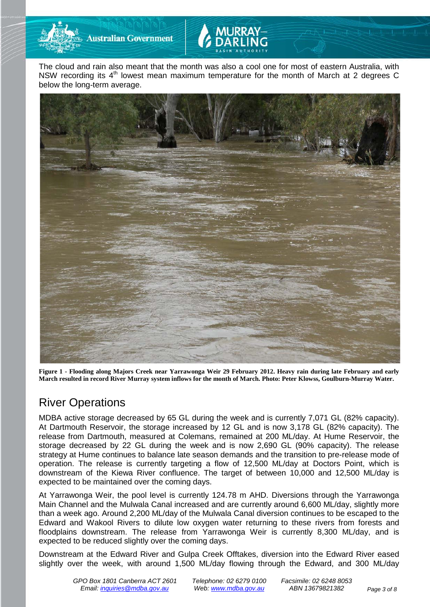

**Australian Government** 



The cloud and rain also meant that the month was also a cool one for most of eastern Australia, with NSW recording its  $4<sup>th</sup>$  lowest mean maximum temperature for the month of March at 2 degrees C below the long-term average.



**Figure 1 - Flooding along Majors Creek near Yarrawonga Weir 29 February 2012. Heavy rain during late February and early March resulted in record River Murray system inflows for the month of March. Photo: Peter Klowss, Goulburn-Murray Water.**

## River Operations

MDBA active storage decreased by 65 GL during the week and is currently 7,071 GL (82% capacity). At Dartmouth Reservoir, the storage increased by 12 GL and is now 3,178 GL (82% capacity). The release from Dartmouth, measured at Colemans, remained at 200 ML/day. At Hume Reservoir, the storage decreased by 22 GL during the week and is now 2,690 GL (90% capacity). The release strategy at Hume continues to balance late season demands and the transition to pre-release mode of operation. The release is currently targeting a flow of 12,500 ML/day at Doctors Point, which is downstream of the Kiewa River confluence. The target of between 10,000 and 12,500 ML/day is expected to be maintained over the coming days.

At Yarrawonga Weir, the pool level is currently 124.78 m AHD. Diversions through the Yarrawonga Main Channel and the Mulwala Canal increased and are currently around 6,600 ML/day, slightly more than a week ago. Around 2,200 ML/day of the Mulwala Canal diversion continues to be escaped to the Edward and Wakool Rivers to dilute low oxygen water returning to these rivers from forests and floodplains downstream. The release from Yarrawonga Weir is currently 8,300 ML/day, and is expected to be reduced slightly over the coming days.

Downstream at the Edward River and Gulpa Creek Offtakes, diversion into the Edward River eased slightly over the week, with around 1,500 ML/day flowing through the Edward, and 300 ML/day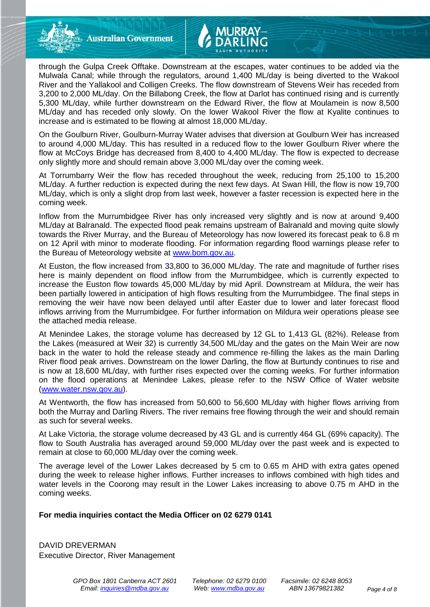**Australian Government** 

through the Gulpa Creek Offtake. Downstream at the escapes, water continues to be added via the Mulwala Canal; while through the regulators, around 1,400 ML/day is being diverted to the Wakool River and the Yallakool and Colligen Creeks. The flow downstream of Stevens Weir has receded from 3,200 to 2,000 ML/day. On the Billabong Creek, the flow at Darlot has continued rising and is currently 5,300 ML/day, while further downstream on the Edward River, the flow at Moulamein is now 8,500 ML/day and has receded only slowly. On the lower Wakool River the flow at Kyalite continues to increase and is estimated to be flowing at almost 18,000 ML/day.

On the Goulburn River, Goulburn-Murray Water advises that diversion at Goulburn Weir has increased to around 4,000 ML/day. This has resulted in a reduced flow to the lower Goulburn River where the flow at McCoys Bridge has decreased from 8,400 to 4,400 ML/day. The flow is expected to decrease only slightly more and should remain above 3,000 ML/day over the coming week.

At Torrumbarry Weir the flow has receded throughout the week, reducing from 25,100 to 15,200 ML/day. A further reduction is expected during the next few days. At Swan Hill, the flow is now 19,700 ML/day, which is only a slight drop from last week, however a faster recession is expected here in the coming week.

Inflow from the Murrumbidgee River has only increased very slightly and is now at around 9,400 ML/day at Balranald. The expected flood peak remains upstream of Balranald and moving quite slowly towards the River Murray, and the Bureau of Meteorology has now lowered its forecast peak to 6.8 m on 12 April with minor to moderate flooding. For information regarding flood warnings please refer to the Bureau of Meteorology website at [www.bom.gov.au.](http://www.bom.gov.au/)

At Euston, the flow increased from 33,800 to 36,000 ML/day. The rate and magnitude of further rises here is mainly dependent on flood inflow from the Murrumbidgee, which is currently expected to increase the Euston flow towards 45,000 ML/day by mid April. Downstream at Mildura, the weir has been partially lowered in anticipation of high flows resulting from the Murrumbidgee. The final steps in removing the weir have now been delayed until after Easter due to lower and later forecast flood inflows arriving from the Murrumbidgee. For further information on Mildura weir operations please see the attached media release.

At Menindee Lakes, the storage volume has decreased by 12 GL to 1,413 GL (82%). Release from the Lakes (measured at Weir 32) is currently 34,500 ML/day and the gates on the Main Weir are now back in the water to hold the release steady and commence re-filling the lakes as the main Darling River flood peak arrives. Downstream on the lower Darling, the flow at Burtundy continues to rise and is now at 18,600 ML/day, with further rises expected over the coming weeks. For further information on the flood operations at Menindee Lakes, please refer to the NSW Office of Water website [\(www.water.nsw.gov.au\)](http://www.water.nsw.gov.au/).

At Wentworth, the flow has increased from 50,600 to 56,600 ML/day with higher flows arriving from both the Murray and Darling Rivers. The river remains free flowing through the weir and should remain as such for several weeks.

At Lake Victoria, the storage volume decreased by 43 GL and is currently 464 GL (69% capacity). The flow to South Australia has averaged around 59,000 ML/day over the past week and is expected to remain at close to 60,000 ML/day over the coming week.

The average level of the Lower Lakes decreased by 5 cm to 0.65 m AHD with extra gates opened during the week to release higher inflows. Further increases to inflows combined with high tides and water levels in the Coorong may result in the Lower Lakes increasing to above 0.75 m AHD in the coming weeks.

#### **For media inquiries contact the Media Officer on 02 6279 0141**

DAVID DREVERMAN Executive Director, River Management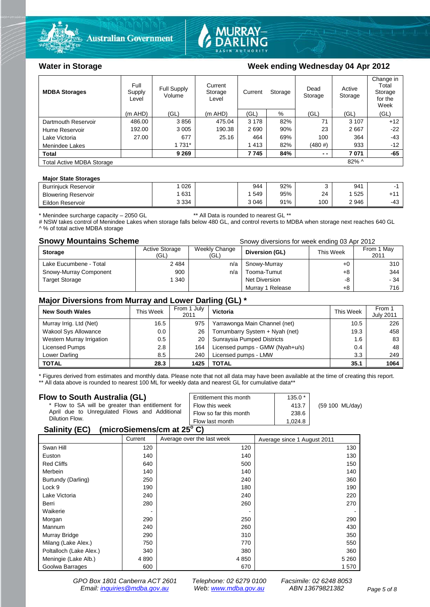



#### Water in Storage Week ending Wednesday 04 Apr 2012

| <b>MDBA Storages</b>             | Full<br>Supply<br>Level | Current<br>Full Supply<br>Storage<br>Volume<br>Level |           | Current<br>Storage |     | Dead<br>Storage | Active<br>Storage | Change in<br>Total<br>Storage<br>for the<br>Week |
|----------------------------------|-------------------------|------------------------------------------------------|-----------|--------------------|-----|-----------------|-------------------|--------------------------------------------------|
|                                  | $(m$ AHD)               | (GL)                                                 | $(m$ AHD) | (GL)               | %   | (GL)            | (GL)              | (GL)                                             |
| Dartmouth Reservoir              | 486.00                  | 3856                                                 | 475.04    | 3 1 7 8            | 82% | 71              | 3 1 0 7           | $+12$                                            |
| Hume Reservoir                   | 192.00                  | 3 0 0 5                                              | 190.38    | 2690               | 90% | 23              | 2667              | $-22$                                            |
| Lake Victoria                    | 27.00                   | 677                                                  | 25.16     | 464                | 69% | 100             | 364               | $-43$                                            |
| Menindee Lakes                   |                         | 1 7 3 1 *                                            |           | 1413               | 82% | (480#)          | 933               | $-12$                                            |
| <b>Total</b>                     |                         | 9 2 6 9                                              |           | 7745               | 84% | $ -$            | 7071              | $-65$                                            |
| <b>Total Active MDBA Storage</b> |                         |                                                      |           |                    |     |                 | 82% ^             |                                                  |

#### **Major State Storages**

| <b>Burriniuck Reservoir</b> | 026     | 944     | 92% |     | 941  |                 |
|-----------------------------|---------|---------|-----|-----|------|-----------------|
| <b>Blowering Reservoir</b>  | 631     | 549     | 95% | 24  | 525  | .4 <sub>4</sub> |
| Eildon Reservoir            | 3 3 3 4 | 3 0 4 6 | 91% | 100 | 2946 | $-43$           |

\* Menindee surcharge capacity – 2050 GL \*\* All Data is rounded to nearest GL \*\*

# NSW takes control of Menindee Lakes when storage falls below 480 GL, and control reverts to MDBA when storage next reaches 640 GL ^ % of total active MDBA storage

**Snowy Mountains Scheme Snowy diversions for week ending 03 Apr 2012** 

| <b>Storage</b>         | <b>Active Storage</b><br>(GL) | Weekly Change<br>(GL) | Diversion (GL)   | This Week | From 1 May<br>2011 |
|------------------------|-------------------------------|-----------------------|------------------|-----------|--------------------|
| Lake Eucumbene - Total | 2484                          | n/a                   | Snowy-Murray     | +0        | 310                |
| Snowy-Murray Component | 900                           | n/a                   | Tooma-Tumut      | +8        | 344                |
| <b>Target Storage</b>  | 1 340                         |                       | Net Diversion    | -8        | - 34               |
|                        |                               |                       | Murray 1 Release | +8        | 716                |

#### **Major Diversions from Murray and Lower Darling (GL) \***

| <b>New South Wales</b>    | This Week | From 1 July<br>2011 | Victoria                        | This Week | From 1<br><b>July 2011</b> |
|---------------------------|-----------|---------------------|---------------------------------|-----------|----------------------------|
| Murray Irrig. Ltd (Net)   | 16.5      | 975                 | Yarrawonga Main Channel (net)   | 10.5      | 226                        |
| Wakool Sys Allowance      | 0.0       | 26                  | Torrumbarry System + Nyah (net) | 19.3      | 458                        |
| Western Murray Irrigation | 0.5       | 20                  | Sunraysia Pumped Districts      | 1.6       | 83                         |
| Licensed Pumps            | 2.8       | 164                 | Licensed pumps - GMW (Nyah+u/s) | 0.4       | 48                         |
| Lower Darling             | 8.5       | 240                 | Licensed pumps - LMW            | 3.3       | 249                        |
| <b>TOTAL</b>              | 28.3      | 1425                | TOTAL                           | 35.1      | 1064                       |

\* Figures derived from estimates and monthly data. Please note that not all data may have been available at the time of creating this report. \*\* All data above is rounded to nearest 100 ML for weekly data and nearest GL for cumulative data\*\*

#### **Flow to South Australia (GL)**

| Flow to South Australia (GL)<br>* Flow to SA will be greater than entitlement for<br>April due to Unregulated Flows and Additional<br>Dilution Flow. | Entitlement this month<br>Flow this week<br>Flow so far this month | $135.0*$<br>413.7<br>238.6 | (59 100 ML/day) |
|------------------------------------------------------------------------------------------------------------------------------------------------------|--------------------------------------------------------------------|----------------------------|-----------------|
|                                                                                                                                                      | Flow last month                                                    | 1.024.8                    |                 |
| $(m \cdot m \cdot \mathcal{C})$<br>$C = 11.11$                                                                                                       |                                                                    |                            |                 |

#### **Salinity (EC) (microSiemens/cm at 25o C)**

|                         | Current | Average over the last week | Average since 1 August 2011 |
|-------------------------|---------|----------------------------|-----------------------------|
| Swan Hill               | 120     | 120                        | 130                         |
| Euston                  | 140     | 140                        | 130                         |
| <b>Red Cliffs</b>       | 640     | 500                        | 150                         |
| Merbein                 | 140     | 140                        | 140                         |
| Burtundy (Darling)      | 250     | 240                        | 360                         |
| Lock 9                  | 190     | 180                        | 190                         |
| Lake Victoria           | 240     | 240                        | 220                         |
| Berri                   | 280     | 260                        | 270                         |
| Waikerie                |         |                            |                             |
| Morgan                  | 290     | 250                        | 290                         |
| Mannum                  | 240     | 260                        | 430                         |
| Murray Bridge           | 290     | 310                        | 350                         |
| Milang (Lake Alex.)     | 750     | 770                        | 550                         |
| Poltalloch (Lake Alex.) | 340     | 380                        | 360                         |
| Meningie (Lake Alb.)    | 4 8 9 0 | 4 8 5 0                    | 5 2 6 0                     |
| Goolwa Barrages         | 600     | 670                        | 1570                        |

*GPO Box 1801 Canberra ACT 2601 Telephone: 02 6279 0100 Facsimile: 02 6248 8053 Email: [inquiries@mdba.gov.au](mailto:inquiries@mdba.gov.au) Web: [www.mdba.gov.au](http://www.mdba.gov.au/) ABN 13679821382 Page 5 of 8*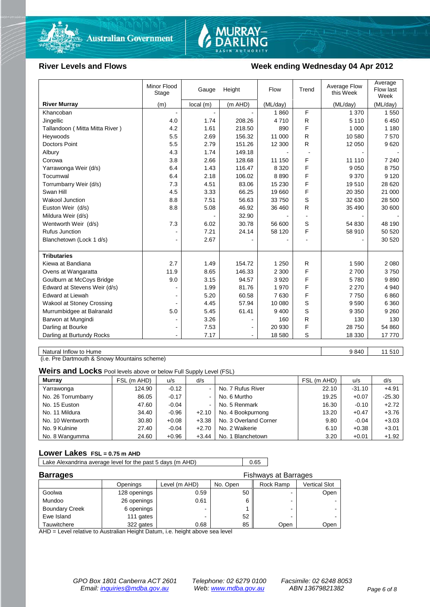

# MURRAY-<br>DARLING

#### River Levels and Flows **Week ending Wednesday 04 Apr 2012**

|                                | Minor Flood<br>Stage | Gauge    | Height  | Flow     | Trend          | Average Flow<br>this Week | Average<br>Flow last<br>Week |
|--------------------------------|----------------------|----------|---------|----------|----------------|---------------------------|------------------------------|
| <b>River Murray</b>            | (m)                  | local(m) | (m AHD) | (ML/day) |                | (ML/day)                  | (ML/day)                     |
| Khancoban                      | $\blacksquare$       |          |         | 1860     | F              | 1 370                     | 1 5 5 0                      |
| Jingellic                      | 4.0                  | 1.74     | 208.26  | 4710     | R              | 5 1 1 0                   | 6450                         |
| Tallandoon (Mitta Mitta River) | 4.2                  | 1.61     | 218.50  | 890      | F              | 1 0 0 0                   | 1 1 8 0                      |
| Heywoods                       | 5.5                  | 2.69     | 156.32  | 11 000   | R              | 10 580                    | 7570                         |
| <b>Doctors Point</b>           | 5.5                  | 2.79     | 151.26  | 12 300   | R              | 12 050                    | 9620                         |
| Albury                         | 4.3                  | 1.74     | 149.18  |          |                |                           |                              |
| Corowa                         | 3.8                  | 2.66     | 128.68  | 11 150   | F              | 11 110                    | 7 2 4 0                      |
| Yarrawonga Weir (d/s)          | 6.4                  | 1.43     | 116.47  | 8 3 2 0  | F              | 9 0 5 0                   | 8750                         |
| Tocumwal                       | 6.4                  | 2.18     | 106.02  | 8890     | F              | 9 3 7 0                   | 9 1 2 0                      |
| Torrumbarry Weir (d/s)         | 7.3                  | 4.51     | 83.06   | 15 2 30  | F              | 19510                     | 28 6 20                      |
| Swan Hill                      | 4.5                  | 3.33     | 66.25   | 19660    | F              | 20 350                    | 21 000                       |
| <b>Wakool Junction</b>         | 8.8                  | 7.51     | 56.63   | 33 750   | S              | 32 630                    | 28 500                       |
| Euston Weir (d/s)              | 8.8                  | 5.08     | 46.92   | 36 460   | R              | 35 490                    | 30 600                       |
| Mildura Weir (d/s)             |                      |          | 32.90   |          | $\blacksquare$ |                           |                              |
| Wentworth Weir (d/s)           | 7.3                  | 6.02     | 30.78   | 56 600   | S              | 54 830                    | 48 190                       |
| <b>Rufus Junction</b>          |                      | 7.21     | 24.14   | 58 120   | F              | 58 910                    | 50 520                       |
| Blanchetown (Lock 1 d/s)       | ۰                    | 2.67     |         |          |                |                           | 30 520                       |
|                                |                      |          |         |          |                |                           |                              |
| <b>Tributaries</b>             |                      |          |         |          |                |                           |                              |
| Kiewa at Bandiana              | 2.7                  | 1.49     | 154.72  | 1 2 5 0  | $\mathsf{R}$   | 1590                      | 2 0 8 0                      |
| Ovens at Wangaratta            | 11.9                 | 8.65     | 146.33  | 2 3 0 0  | F              | 2700                      | 3750                         |
| Goulburn at McCoys Bridge      | 9.0                  | 3.15     | 94.57   | 3 9 2 0  | F              | 5780                      | 9890                         |
| Edward at Stevens Weir (d/s)   |                      | 1.99     | 81.76   | 1970     | F              | 2 2 7 0                   | 4 9 4 0                      |
| <b>Edward at Liewah</b>        |                      | 5.20     | 60.58   | 7630     | F              | 7 7 5 0                   | 6860                         |
| Wakool at Stoney Crossing      |                      | 4.45     | 57.94   | 10 080   | S              | 9590                      | 6 3 6 0                      |
| Murrumbidgee at Balranald      | 5.0                  | 5.45     | 61.41   | 9 4 0 0  | S              | 9 3 5 0                   | 9 2 6 0                      |
| Barwon at Mungindi             |                      | 3.26     |         | 160      | R              | 130                       | 130                          |
| Darling at Bourke              | $\blacksquare$       | 7.53     |         | 20 930   | F              | 28 750                    | 54 860                       |
| Darling at Burtundy Rocks      |                      | 7.17     |         | 18 580   | S              | 18 330                    | 17770                        |

Natural Inflow to Hume 11 510

(i.e. Pre Dartmouth & Snowy Mountains scheme)

**Weirs and Locks** Pool levels above or below Full Supply Level (FSL)

| <b>Murray</b>      | FSL (m AHD) | u/s     | d/s     |                       | FSL (m AHD) | u/s      | d/s      |
|--------------------|-------------|---------|---------|-----------------------|-------------|----------|----------|
| Yarrawonga         | 124.90      | $-0.12$ |         | No. 7 Rufus River     | 22.10       | $-31.10$ | $+4.91$  |
| No. 26 Torrumbarry | 86.05       | $-0.17$ |         | No. 6 Murtho          | 19.25       | $+0.07$  | $-25.30$ |
| No. 15 Euston      | 47.60       | $-0.04$ | ۰.      | No. 5 Renmark         | 16.30       | $-0.10$  | $+2.72$  |
| No. 11 Mildura     | 34.40       | $-0.96$ | $+2.10$ | No. 4 Bookpurnong     | 13.20       | $+0.47$  | $+3.76$  |
| No. 10 Wentworth   | 30.80       | $+0.08$ | $+3.38$ | No. 3 Overland Corner | 9.80        | $-0.04$  | $+3.03$  |
| No. 9 Kulnine      | 27.40       | $-0.04$ | $+2.70$ | No. 2 Waikerie        | 6.10        | $+0.38$  | $+3.01$  |
| No. 8 Wangumma     | 24.60       | $+0.96$ | $+3.44$ | No. 1 Blanchetown     | 3.20        | $+0.01$  | $+1.92$  |

#### **Lower Lakes FSL = 0.75 m AHD**

Lake Alexandrina average level for the past 5 days (m AHD) 0.65

| <b>Barrages</b>       |              | Fishways at Barrages |          |           |               |
|-----------------------|--------------|----------------------|----------|-----------|---------------|
|                       | Openings     | Level (m AHD)        | No. Open | Rock Ramp | Vertical Slot |
| Goolwa                | 128 openings | 0.59                 | 50       |           | Open          |
| Mundoo                | 26 openings  | 0.61                 |          | -         |               |
| <b>Boundary Creek</b> | 6 openings   | -                    |          |           |               |
| Ewe Island            | 111 gates    |                      | 52       |           |               |
| Tauwitchere           | 322 gates    | 0.68                 | 85       | Open      | Open          |

AHD = Level relative to Australian Height Datum, i.e. height above sea level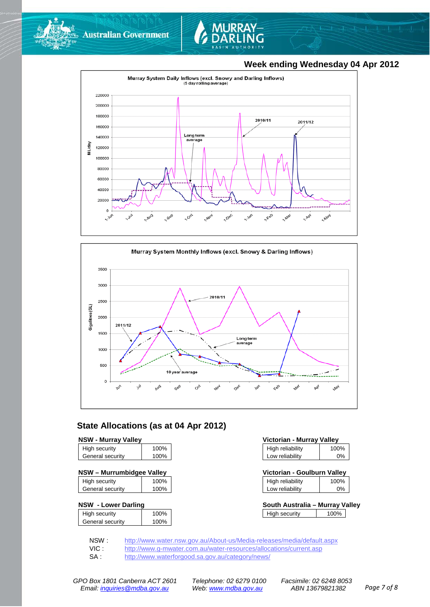







#### **State Allocations (as at 04 Apr 2012)**

| <b>NSW - Murray Valley</b> |                  |
|----------------------------|------------------|
| <b>High contrity</b>       | 100 <sub>0</sub> |

| General security     | 100%         |
|----------------------|--------------|
| <b>High Security</b> | <b>IUU70</b> |

| NSW - Murrumbidgee Valley | Victorian - Goulburn Valley |  |
|---------------------------|-----------------------------|--|
|                           |                             |  |

| High security    | 100% |
|------------------|------|
| General security | 100% |
|                  |      |

#### **NSW - Lower Darling**

| High security    | 100% |
|------------------|------|
| General security | 100% |
|                  |      |

| <b>NSW - Murrav Vallev</b> | Victorian - Murray Valley |                  |      |
|----------------------------|---------------------------|------------------|------|
| High security              | 100%                      | High reliability | 100% |
| General security           | 100%                      | Low reliability  | 0%   |

| Victorian - Goulburn Valley |      |  |
|-----------------------------|------|--|
| <b>High reliability</b>     | 100% |  |

|                 | $\sim$ $\sim$ |
|-----------------|---------------|
| Low reliability | 0%            |
|                 |               |

| South Australia - Murray Valley |      |  |
|---------------------------------|------|--|
| High security                   | 100% |  |

NSW : <http://www.water.nsw.gov.au/About-us/Media-releases/media/default.aspx><br>VIC : http://www.g-mwater.com.au/water-resources/allocations/current.asp

VIC : <http://www.g-mwater.com.au/water-resources/allocations/current.asp><br>SA : http://www.waterforgood.sa.gov.au/category/news/

<http://www.waterforgood.sa.gov.au/category/news/>